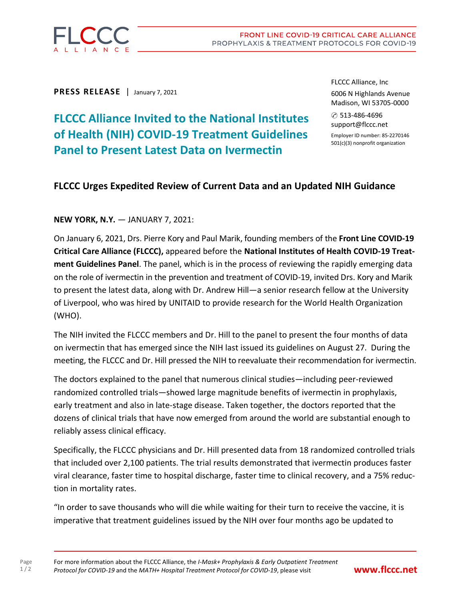

**PRESS RELEASE** | January 7, 2021

**FLCCC Alliance Invited to the National Institutes of Health (NIH) COVID-19 Treatment Guidelines Panel to Present Latest Data on Ivermectin**

FLCCC Alliance, Inc 6006 N Highlands Avenue Madison, WI 53705-0000

✆ 513-486-4696 support@flccc.net Employer ID number: 85-2270146 501(c)(3) nonprofit organization

## **FLCCC Urges Expedited Review of Current Data and an Updated NIH Guidance**

**NEW YORK, N.Y.** — JANUARY 7, 2021:

On January 6, 2021, Drs. Pierre Kory and Paul Marik, founding members of the **Front Line COVID-19 Critical Care Alliance (FLCCC),** appeared before the **National Institutes of Health COVID-19 Treatment Guidelines Panel**. The panel, which is in the process of reviewing the rapidly emerging data on the role of ivermectin in the prevention and treatment of COVID-19, invited Drs. Kory and Marik to present the latest data, along with Dr. Andrew Hill—a senior research fellow at the University of Liverpool, who was hired by UNITAID to provide research for the World Health Organization (WHO).

The NIH invited the FLCCC members and Dr. Hill to the panel to present the four months of data on ivermectin that has emerged since the NIH last issued its guidelines on August 27. During the meeting, the FLCCC and Dr. Hill pressed the NIH to reevaluate their recommendation for ivermectin.

The doctors explained to the panel that numerous clinical studies—including peer-reviewed randomized controlled trials—showed large magnitude benefits of ivermectin in prophylaxis, early treatment and also in late-stage disease. Taken together, the doctors reported that the dozens of clinical trials that have now emerged from around the world are substantial enough to reliably assess clinical efficacy.

Specifically, the FLCCC physicians and Dr. Hill presented data from 18 randomized controlled trials that included over 2,100 patients. The trial results demonstrated that ivermectin produces faster viral clearance, faster time to hospital discharge, faster time to clinical recovery, and a 75% reduction in mortality rates.

"In order to save thousands who will die while waiting for their turn to receive the vaccine, it is imperative that treatment guidelines issued by the NIH over four months ago be updated to

Page  $1/2$